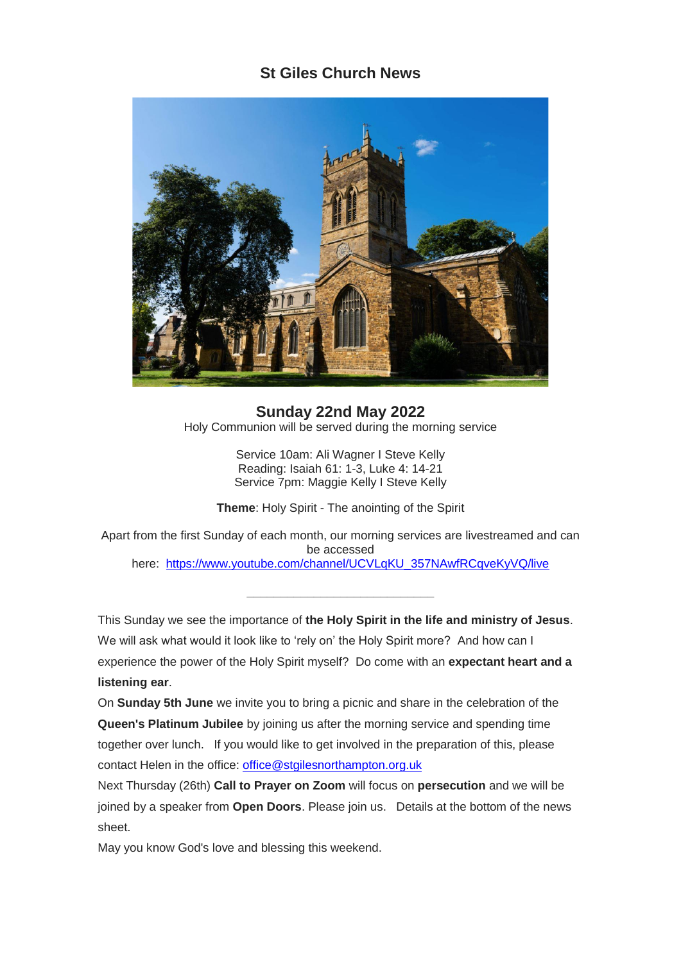## **St Giles Church News**



**Sunday 22nd May 2022** Holy Communion will be served during the morning service

> Service 10am: Ali Wagner I Steve Kelly Reading: Isaiah 61: 1-3, Luke 4: 14-21 Service 7pm: Maggie Kelly I Steve Kelly

**Theme**: Holy Spirit - The anointing of the Spirit

Apart from the first Sunday of each month, our morning services are livestreamed and can be accessed here: [https://www.youtube.com/channel/UCVLqKU\\_357NAwfRCqveKyVQ/live](https://www.youtube.com/channel/UCVLqKU_357NAwfRCqveKyVQ/live)

This Sunday we see the importance of **the Holy Spirit in the life and ministry of Jesus**. We will ask what would it look like to 'rely on' the Holy Spirit more? And how can I experience the power of the Holy Spirit myself? Do come with an **expectant heart and a listening ear**.

On **Sunday 5th June** we invite you to bring a picnic and share in the celebration of the **Queen's Platinum Jubilee** by joining us after the morning service and spending time together over lunch. If you would like to get involved in the preparation of this, please contact Helen in the office: [office@stgilesnorthampton.org.uk](mailto:office@stgilesnorthampton.org.uk)

Next Thursday (26th) **Call to Prayer on Zoom** will focus on **persecution** and we will be joined by a speaker from **Open Doors**. Please join us. Details at the bottom of the news sheet.

May you know God's love and blessing this weekend.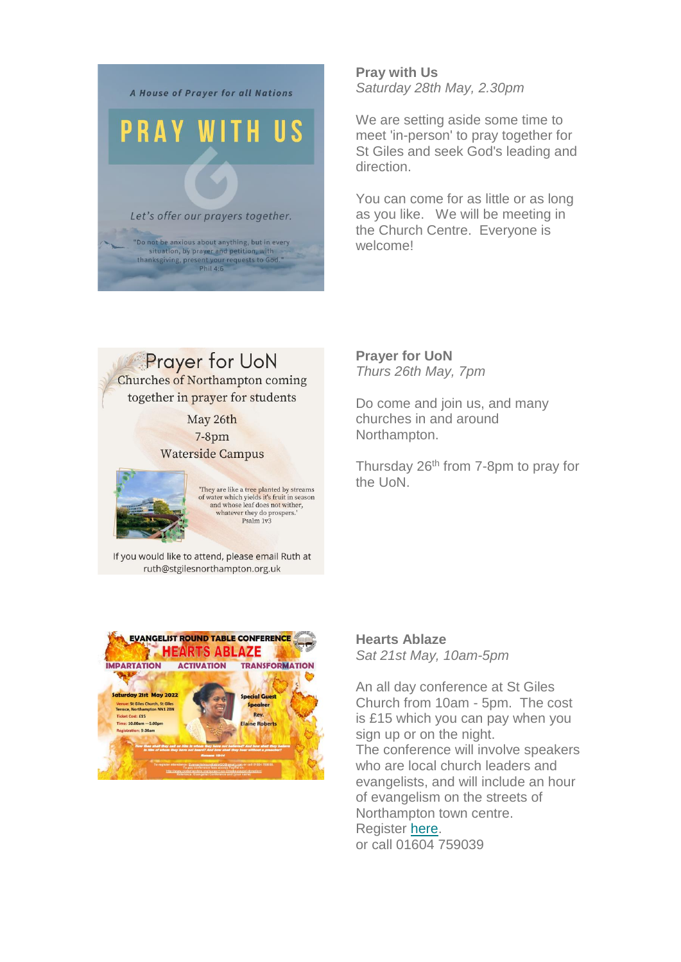

**Pray with Us** *Saturday 28th May, 2.30pm*

We are setting aside some time to meet 'in-person' to pray together for St Giles and seek God's leading and direction.

You can come for as little or as long as you like. We will be meeting in the Church Centre. Everyone is welcome!

**Prayer for UoN** 

**Churches of Northampton coming** together in prayer for students

> May 26th  $7-8$ pm **Waterside Campus**

 $\begin{array}{c} \textbf{They are like a tree planted by streams} \\ \textbf{of water which yields it's fruit in season} \\ \textbf{and whose leaf does not wither,} \end{array}$ whatever they do prospers.' Psalm 1v3

If you would like to attend, please email Ruth at ruth@stgilesnorthampton.org.uk



**Prayer for UoN** *Thurs 26th May, 7pm*

Do come and join us, and many churches in and around Northampton.

Thursday 26<sup>th</sup> from 7-8pm to pray for the UoN.

**Hearts Ablaze** *Sat 21st May, 10am-5pm*

An all day conference at St Giles Church from 10am - 5pm. The cost is £15 which you can pay when you sign up or on the night. The conference will involve speakers who are local church leaders and evangelists, and will include an hour of evangelism on the streets of Northampton town centre. Register [here.](mailto:EvangelistroundtableGO@gmail.com.) or call 01604 759039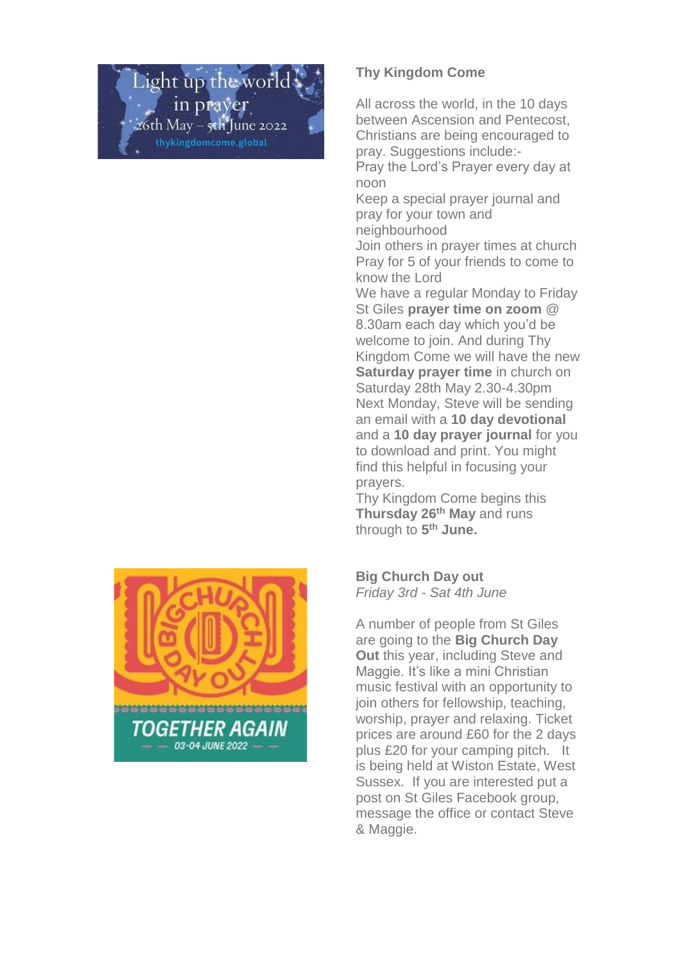ight up the world in prayer  $26th$  May –  $\frac{1}{3}th$  June 2022 thykingdomcome.global



## **Thy Kingdom Come**

All across the world, in the 10 days between Ascension and Pentecost, Christians are being encouraged to pray. Suggestions include:-

Pray the Lord's Prayer every day at noon

Keep a special prayer journal and pray for your town and neighbourhood

Join others in prayer times at church Pray for 5 of your friends to come to know the Lord

We have a regular Monday to Friday St Giles **prayer time on zoom** @ 8.30am each day which you'd be welcome to join. And during Thy Kingdom Come we will have the new **Saturday prayer time** in church on Saturday 28th May 2.30-4.30pm Next Monday, Steve will be sending an email with a **10 day devotional** and a **10 day prayer journal** for you to download and print. You might find this helpful in focusing your prayers.

Thy Kingdom Come begins this **Thursday 26th May** and runs through to **5 th June.**

**Big Church Day out** *Friday 3rd - Sat 4th June*

A number of people from St Giles are going to the **Big Church Day Out** this year, including Steve and Maggie. It's like a mini Christian music festival with an opportunity to join others for fellowship, teaching, worship, prayer and relaxing. Ticket prices are around £60 for the 2 days plus £20 for your camping pitch. It is being held at Wiston Estate, West Sussex. If you are interested put a post on St Giles Facebook group, message the office or contact Steve & Maggie.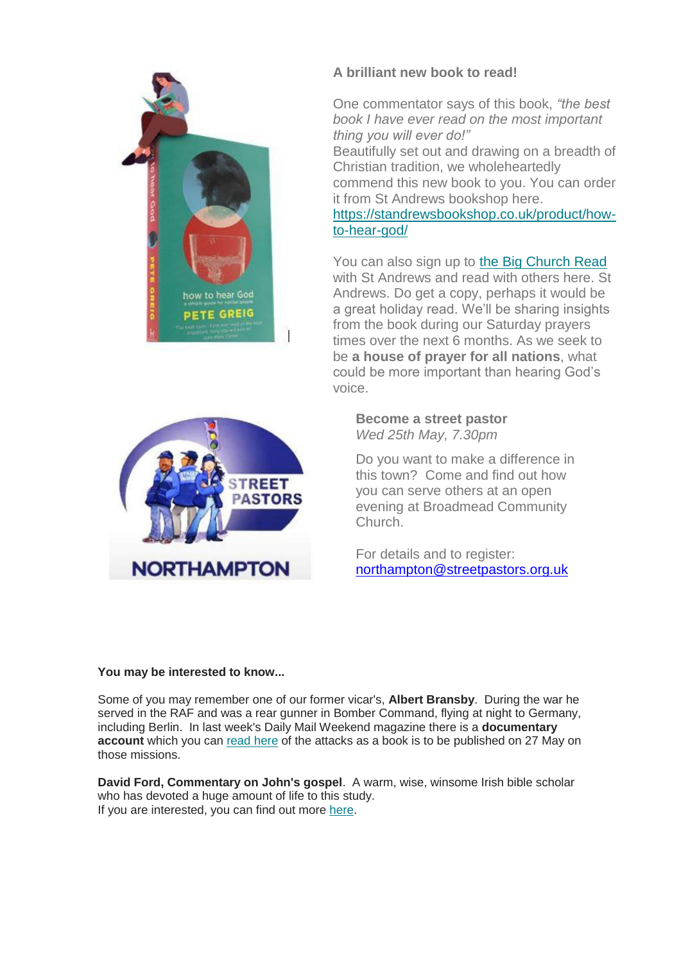

## **A brilliant new book to read!**

One commentator says of this book, *"the best book I have ever read on the most important thing you will ever do!"*

Beautifully set out and drawing on a breadth of Christian tradition, we wholeheartedly commend this new book to you. You can order it from St Andrews bookshop here.

[https://standrewsbookshop.co.uk/product/how](https://standrewsbookshop.co.uk/product/how-to-hear-god/)[to-hear-god/](https://standrewsbookshop.co.uk/product/how-to-hear-god/)

You can also sign up to [the Big Church Read](https://thebigchurchread.co.uk/how-to-hear-god/?goal=0_97e98c176b-911c36abe5-315151286&mc_cid=911c36abe5&mc_eid=0f7b5e5161) with St Andrews and read with others here. St Andrews. Do get a copy, perhaps it would be a great holiday read. We'll be sharing insights from the book during our Saturday prayers times over the next 6 months. As we seek to be **a house of prayer for all nations**, what could be more important than hearing God's voice.



**Become a street pastor** *Wed 25th May, 7.30pm*

Do you want to make a difference in this town? Come and find out how you can serve others at an open evening at Broadmead Community Church.

For details and to register: [northampton@streetpastors.org.uk](mailto:northampton@streetpastors.org.uk)

## **You may be interested to know...**

Some of you may remember one of our former vicar's, **Albert Bransby**. During the war he served in the RAF and was a rear gunner in Bomber Command, flying at night to Germany, including Berlin. In last week's Daily Mail Weekend magazine there is a **documentary**  account which you can [read here](https://mcusercontent.com/e45c62b51effcdbbeb9ee180e/files/49914757-959f-9108-dd68-dda94751bcd9/Albert_Bransby_article.pdf) of the attacks as a book is to be published on 27 May on those missions.

**David Ford, Commentary on John's gospel**. A warm, wise, winsome Irish bible scholar who has devoted a huge amount of life to this study. If you are interested, you can find out more [here.](https://www.eden.co.uk/christian-books/bible-study/academic-bible-study/new-testament-bible-commentaries/the-gospel-of-john/)